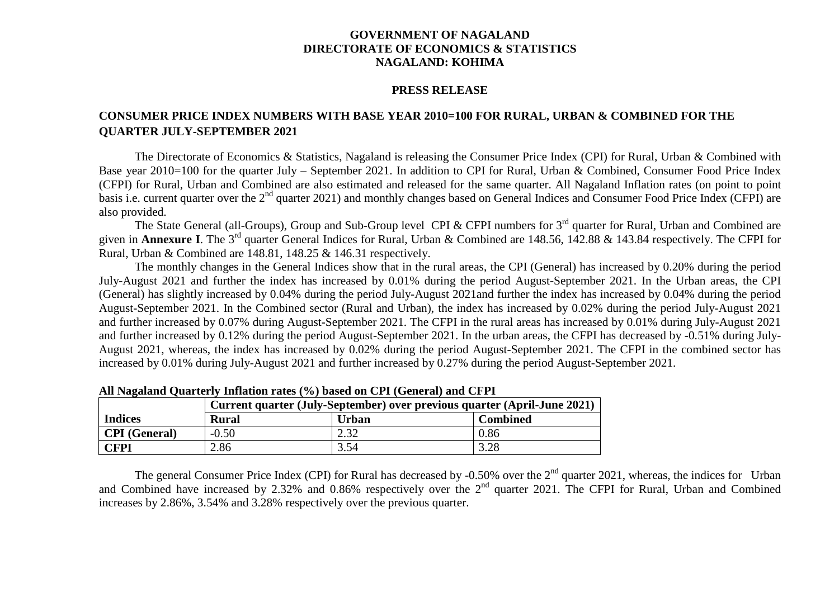## **GOVERNMENT OF NAGALAND DIRECTORATE OF ECONOMICS & STATISTICS NAGALAND: KOHIMA**

## **PRESS RELEASE**

## **CONSUMER PRICE INDEX NUMBERS WITH BASE YEAR 2010=100 FOR RURAL, URBAN & COMBINED FOR THE QUARTER JULY-SEPTEMBER 2021**

The Directorate of Economics & Statistics, Nagaland is releasing the Consumer Price Index (CPI) for Rural, Urban & Combined with Base year 2010=100 for the quarter July – September 2021. In addition to CPI for Rural, Urban & Combined, Consumer Food Price Index (CFPI) for Rural, Urban and Combined are also estimated and released for the same quarter. All Nagaland Inflation rates (on point to point basis i.e. current quarter over the 2<sup>nd</sup> quarter 2021) and monthly changes based on General Indices and Consumer Food Price Index (CFPI) are also provided.

The State General (all-Groups), Group and Sub-Group level CPI & CFPI numbers for 3<sup>rd</sup> quarter for Rural, Urban and Combined are given in **Annexure I**. The 3rd quarter General Indices for Rural, Urban & Combined are 148.56, 142.88 & 143.84 respectively. The CFPI for Rural, Urban & Combined are 148.81, 148.25 & 146.31 respectively.

The monthly changes in the General Indices show that in the rural areas, the CPI (General) has increased by 0.20% during the period July-August 2021 and further the index has increased by 0.01% during the period August-September 2021. In the Urban areas, the CPI (General) has slightly increased by 0.04% during the period July-August 2021and further the index has increased by 0.04% during the period August-September 2021. In the Combined sector (Rural and Urban), the index has increased by 0.02% during the period July-August 2021 and further increased by 0.07% during August-September 2021. The CFPI in the rural areas has increased by 0.01% during July-August 2021 and further increased by 0.12% during the period August-September 2021. In the urban areas, the CFPI has decreased by -0.51% during July-August 2021, whereas, the index has increased by 0.02% during the period August-September 2021. The CFPI in the combined sector has increased by 0.01% during July-August 2021 and further increased by 0.27% during the period August-September 2021.

|                      | Current quarter (July-September) over previous quarter (April-June 2021) |              |                 |  |  |  |  |  |  |  |
|----------------------|--------------------------------------------------------------------------|--------------|-----------------|--|--|--|--|--|--|--|
| <b>Indices</b>       | <b>Rural</b>                                                             | <b>Urban</b> | <b>Combined</b> |  |  |  |  |  |  |  |
| <b>CPI</b> (General) | $-0.50$                                                                  | 2.32         | 0.86            |  |  |  |  |  |  |  |
| <b>CFPI</b>          | 2.86                                                                     | 3.54         | 3.28            |  |  |  |  |  |  |  |

**All Nagaland Quarterly Inflation rates (%) based on CPI (General) and CFPI**

The general Consumer Price Index (CPI) for Rural has decreased by -0.50% over the  $2<sup>nd</sup>$  quarter 2021, whereas, the indices for Urban and Combined have increased by 2.32% and 0.86% respectively over the 2<sup>nd</sup> quarter 2021. The CFPI for Rural, Urban and Combined increases by 2.86%, 3.54% and 3.28% respectively over the previous quarter.